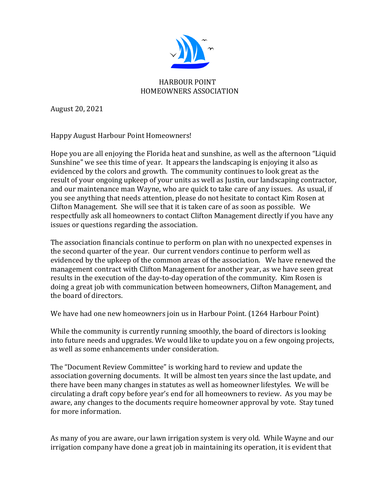

August 20, 2021

Happy August Harbour Point Homeowners!

Hope you are all enjoying the Florida heat and sunshine, as well as the afternoon "Liquid Sunshine" we see this time of year. It appears the landscaping is enjoying it also as evidenced by the colors and growth. The community continues to look great as the result of your ongoing upkeep of your units as well as Justin, our landscaping contractor, and our maintenance man Wayne, who are quick to take care of any issues. As usual, if you see anything that needs attention, please do not hesitate to contact Kim Rosen at Clifton Management. She will see that it is taken care of as soon as possible. We respectfully ask all homeowners to contact Clifton Management directly if you have any issues or questions regarding the association.

The association financials continue to perform on plan with no unexpected expenses in the second quarter of the year. Our current vendors continue to perform well as evidenced by the upkeep of the common areas of the association. We have renewed the management contract with Clifton Management for another year, as we have seen great results in the execution of the day-to-day operation of the community. Kim Rosen is doing a great job with communication between homeowners, Clifton Management, and the board of directors.

We have had one new homeowners join us in Harbour Point. (1264 Harbour Point)

While the community is currently running smoothly, the board of directors is looking into future needs and upgrades. We would like to update you on a few ongoing projects, as well as some enhancements under consideration.

The "Document Review Committee" is working hard to review and update the association governing documents. It will be almost ten years since the last update, and there have been many changes in statutes as well as homeowner lifestyles. We will be circulating a draft copy before year's end for all homeowners to review. As you may be aware, any changes to the documents require homeowner approval by vote. Stay tuned for more information.

As many of you are aware, our lawn irrigation system is very old. While Wayne and our irrigation company have done a great job in maintaining its operation, it is evident that